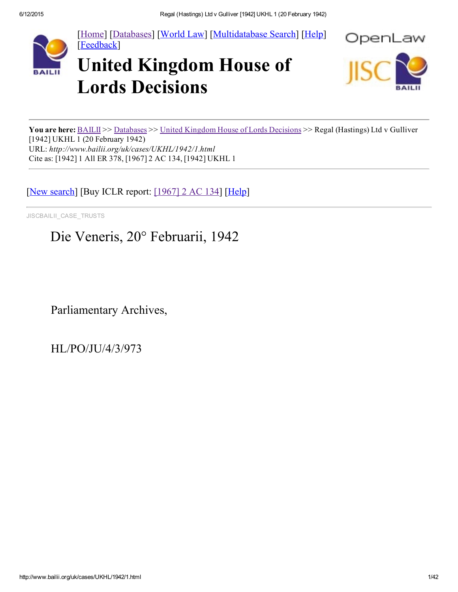[\[Home\]](http://www.bailii.org/) [[Databases\]](http://www.bailii.org/databases.html) [\[World](http://www.austlii.edu.au/links/World/) Law] [\[Multidatabase](http://www.bailii.org/form/search_multidatabase.html) Search] [\[Help\]](http://www.bailii.org/bailii/help/) [\[Feedback\]](http://www.bailii.org/bailii/feedback.html)



United Kingdom House of Lords Decisions



You are here: **[BAILII](http://www.bailii.org/)** >> [Databases](http://www.bailii.org/databases.html) >> United Kingdom House of Lords [Decisions](http://www.bailii.org/uk/cases/UKHL/) >> Regal (Hastings) Ltd v Gulliver [1942] UKHL 1 (20 February 1942) URL: http://www.bailii.org/uk/cases/UKHL/1942/1.html Cite as: [1942] 1 All ER 378, [1967] 2 AC 134, [1942] UKHL 1

[New [search\]](http://www.bailii.org/form/search_cases.html) [Buy ICLR report: [\[1967\]](https://shop.iclr.co.uk/Subscr/welcome.aspx?docId=XAC1967-2-134) 2 AC 134] [\[Help\]](http://www.bailii.org/bailii/help/)

JISCBAILII\_CASE\_TRUSTS

# Die Veneris, 20° Februarii, 1942

Parliamentary Archives,

HL/PO/JU/4/3/973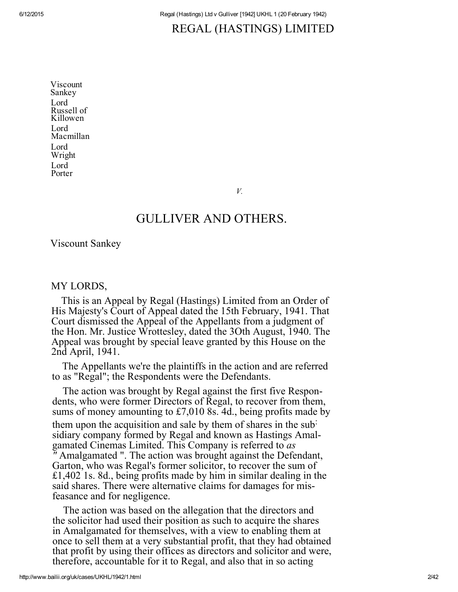### REGAL (HASTINGS) LIMITED

Viscount Sankey Lord Russell of Killowen Lord Macmillan Lord Wright Lord Porter

V.

### GULLIVER AND OTHERS.

Viscount Sankey

MY LORDS,

This is an Appeal by Regal (Hastings) Limited from an Order of His Majesty's Court of Appeal dated the 15th February, 1941. That Court dismissed the Appeal of the Appellants from a judgment of the Hon. Mr. Justice Wrottesley, dated the 3Oth August, 1940. The Appeal was brought by special leave granted by this House on the 2nd April, 1941.

The Appellants we're the plaintiffs in the action and are referred to as "Regal"; the Respondents were the Defendants.

The action was brought by Regal against the first five Respondents, who were former Directors of Regal, to recover from them, sums of money amounting to £7,010 8s. 4d., being profits made by them upon the acquisition and sale by them of shares in the subsidiary company formed by Regal and known as Hastings Amalgamated Cinemas Limited. This Company is referred to as " Amalgamated ". The action was brought against the Defendant, Garton, who was Regal's former solicitor, to recover the sum of £1,402 1s. 8d., being profits made by him in similar dealing in the said shares. There were alternative claims for damages for misfeasance and for negligence.

The action was based on the allegation that the directors and the solicitor had used their position as such to acquire the shares in Amalgamated for themselves, with a view to enabling them at once to sell them at a very substantial profit, that they had obtained that profit by using their offices as directors and solicitor and were, therefore, accountable for it to Regal, and also that in so acting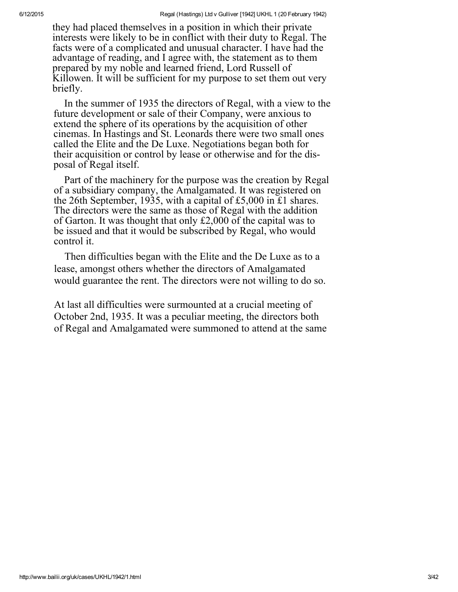they had placed themselves in a position in which their private interests were likely to be in conflict with their duty to Regal. The facts were of a complicated and unusual character. I have had the advantage of reading, and I agree with, the statement as to them prepared by my noble and learned friend, Lord Russell of Killowen. It will be sufficient for my purpose to set them out very briefly.

In the summer of 1935 the directors of Regal, with a view to the future development or sale of their Company, were anxious to extend the sphere of its operations by the acquisition of other cinemas. In Hastings and St. Leonards there were two small ones called the Elite and the De Luxe. Negotiations began both for their acquisition or control by lease or otherwise and for the disposal of Regal itself.

Part of the machinery for the purpose was the creation by Regal of a subsidiary company, the Amalgamated. It was registered on the 26th September, 1935, with a capital of £5,000 in £1 shares. The directors were the same as those of Regal with the addition of Garton. It was thought that only £2,000 of the capital was to be issued and that it would be subscribed by Regal, who would control it.

Then difficulties began with the Elite and the De Luxe as to a lease, amongst others whether the directors of Amalgamated would guarantee the rent. The directors were not willing to do so.

At last all difficulties were surmounted at a crucial meeting of October 2nd, 1935. It was a peculiar meeting, the directors both of Regal and Amalgamated were summoned to attend at the same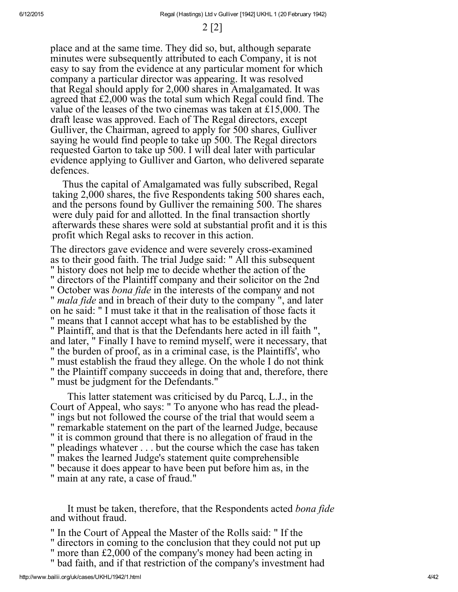### 2 [2]

place and at the same time. They did so, but, although separate minutes were subsequently attributed to each Company, it is not easy to say from the evidence at any particular moment for which company a particular director was appearing. It was resolved that Regal should apply for 2,000 shares in Amalgamated. It was agreed that £2,000 was the total sum which Regal could find. The value of the leases of the two cinemas was taken at £15,000. The draft lease was approved. Each of The Regal directors, except Gulliver, the Chairman, agreed to apply for 500 shares, Gulliver saying he would find people to take up 500. The Regal directors requested Garton to take up 500. I will deal later with particular evidence applying to Gulliver and Garton, who delivered separate defences.

Thus the capital of Amalgamated was fully subscribed, Regal taking 2,000 shares, the five Respondents taking 500 shares each, and the persons found by Gulliver the remaining 500. The shares were duly paid for and allotted. In the final transaction shortly afterwards these shares were sold at substantial profit and it is this profit which Regal asks to recover in this action.

The directors gave evidence and were severely cross-examined as to their good faith. The trial Judge said: " All this subsequent " history does not help me to decide whether the action of the " directors of the Plaintiff company and their solicitor on the 2nd " October was *bona fide* in the interests of the company and not " *mala fide* and in breach of their duty to the company", and later on he said: " I must take it that in the realisation of those facts it " means that I cannot accept what has to be established by the " Plaintiff, and that is that the Defendants here acted in ill faith ", and later, " Finally I have to remind myself, were it necessary, that " the burden of proof, as in a criminal case, is the Plaintiffs', who " must establish the fraud they allege. On the whole I do not think " the Plaintiff company succeeds in doing that and, therefore, there " must be judgment for the Defendants."

This latter statement was criticised by du Parcq, L.J., in the Court of Appeal, who says: " To anyone who has read the plead ings but not followed the course of the trial that would seem a " remarkable statement on the part of the learned Judge, because " it is common ground that there is no allegation of fraud in the " pleadings whatever . . . but the course which the case has taken " makes the learned Judge's statement quite comprehensible " because it does appear to have been put before him as, in the " main at any rate, a case of fraud."

It must be taken, therefore, that the Respondents acted bona fide and without fraud.

" In the Court of Appeal the Master of the Rolls said: " If the

- " directors in coming to the conclusion that they could not put up
- " more than £2,000 of the company's money had been acting in
- " bad faith, and if that restriction of the company's investment had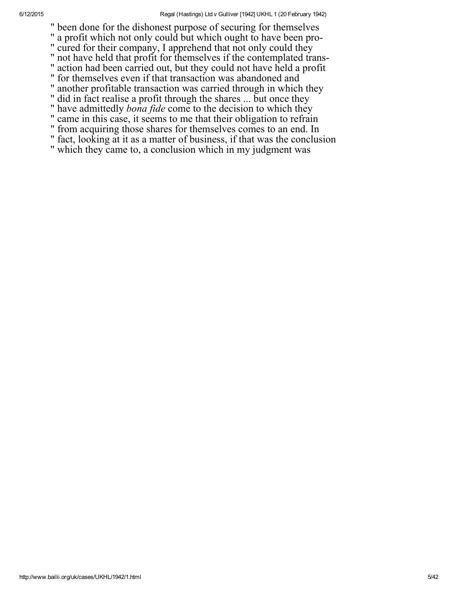- " been done for the dishonest purpose of securing for themselves
- " a profit which not only could but which ought to have been pro
- " cured for their company, I apprehend that not only could they
- " not have held that profit for themselves if the contemplated trans
- " action had been carried out, but they could not have held a profit
- " for themselves even if that transaction was abandoned and
- " another profitable transaction was carried through in which they
- " did in fact realise a profit through the shares ... but once they
- " have admittedly *bona fide* come to the decision to which they
- " came in this case, it seems to me that their obligation to refrain
- " from acquiring those shares for themselves comes to an end. In
- " fact, looking at it as a matter of business, if that was the conclusion
- " which they came to, a conclusion which in my judgment was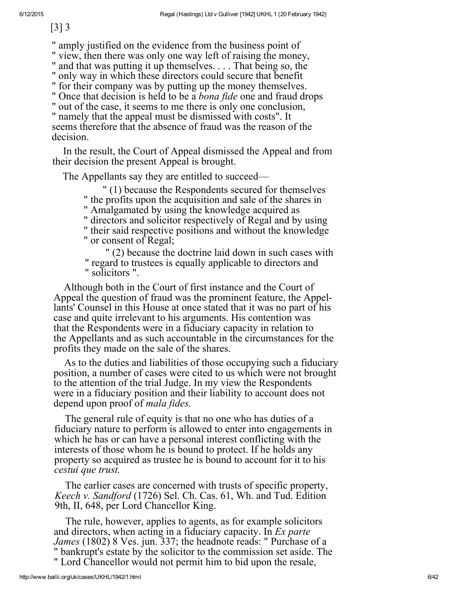### [3] 3

" amply justified on the evidence from the business point of " view, then there was only one way left of raising the money, " and that was putting it up themselves. . . . That being so, the " only way in which these directors could secure that benefit

" for their company was by putting up the money themselves.

" Once that decision is held to be a *bona fide* one and fraud drops

" out of the case, it seems to me there is only one conclusion,

" namely that the appeal must be dismissed with costs". It seems therefore that the absence of fraud was the reason of the decision.

In the result, the Court of Appeal dismissed the Appeal and from their decision the present Appeal is brought.

The Appellants say they are entitled to succeed—

" (1) because the Respondents secured for themselves

" the profits upon the acquisition and sale of the shares in

" Amalgamated by using the knowledge acquired as

" directors and solicitor respectively of Regal and by using

" their said respective positions and without the knowledge " or consent of Regal;

" (2) because the doctrine laid down in such cases with

" regard to trustees is equally applicable to directors and " solicitors ".

Although both in the Court of first instance and the Court of Appeal the question of fraud was the prominent feature, the Appellants' Counsel in this House at once stated that it was no part of his case and quite irrelevant to his arguments. His contention was that the Respondents were in a fiduciary capacity in relation to the Appellants and as such accountable in the circumstances for the profits they made on the sale of the shares.

As to the duties and liabilities of those occupying such a fiduciary position, a number of cases were cited to us which were not brought to the attention of the trial Judge. In my view the Respondents were in a fiduciary position and their liability to account does not depend upon proof of mala fides.

The general rule of equity is that no one who has duties of a fiduciary nature to perform is allowed to enter into engagements in which he has or can have a personal interest conflicting with the interests of those whom he is bound to protect. If he holds any property so acquired as trustee he is bound to account for it to his cestui que trust.

The earlier cases are concerned with trusts of specific property, Keech v. Sandford (1726) Sel. Ch. Cas. 61, Wh. and Tud. Edition 9th, II, 648, per Lord Chancellor King.

The rule, however, applies to agents, as for example solicitors and directors, when acting in a fiduciary capacity. In Ex parte James (1802) 8 Ves. jun. 337; the headnote reads: " Purchase of a " bankrupt's estate by the solicitor to the commission set aside. The " Lord Chancellor would not permit him to bid upon the resale,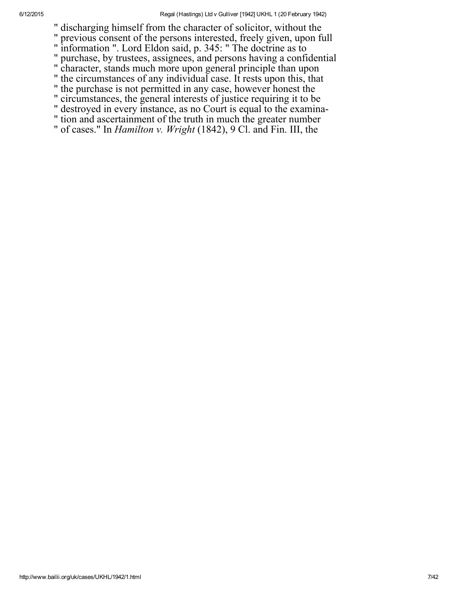" discharging himself from the character of solicitor, without the

" previous consent of the persons interested, freely given, upon full

" information ". Lord Eldon said, p. 345: " The doctrine as to

" purchase, by trustees, assignees, and persons having a confidential

" character, stands much more upon general principle than upon

" the circumstances of any individual case. It rests upon this, that

" the purchase is not permitted in any case, however honest the

" circumstances, the general interests of justice requiring it to be

" destroyed in every instance, as no Court is equal to the examina

" tion and ascertainment of the truth in much the greater number

" of cases." In Hamilton v. Wright (1842), 9 Cl. and Fin. III, the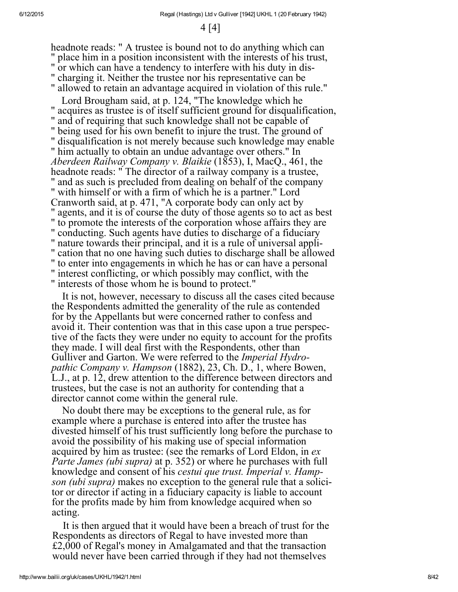4 [4]

headnote reads: " A trustee is bound not to do anything which can place him in a position inconsistent with the interests of his trust, " or which can have a tendency to interfere with his duty in dis " charging it. Neither the trustee nor his representative can be

" allowed to retain an advantage acquired in violation of this rule."

Lord Brougham said, at p. 124, "The knowledge which he " acquires as trustee is of itself sufficient ground for disqualification, " and of requiring that such knowledge shall not be capable of " being used for his own benefit to injure the trust. The ground of " disqualification is not merely because such knowledge may enable " him actually to obtain an undue advantage over others." In Aberdeen Railway Company v. Blaikie (1853), I, MacQ., 461, the headnote reads: " The director of a railway company is a trustee, " and as such is precluded from dealing on behalf of the company " with himself or with a firm of which he is a partner." Lord Cranworth said, at p. 471, "A corporate body can only act by " agents, and it is of course the duty of those agents so to act as best " to promote the interests of the corporation whose affairs they are " conducting. Such agents have duties to discharge of a fiduciary " nature towards their principal, and it is a rule of universal appli " cation that no one having such duties to discharge shall be allowed " to enter into engagements in which he has or can have a personal " interest conflicting, or which possibly may conflict, with the " interests of those whom he is bound to protect."

It is not, however, necessary to discuss all the cases cited because the Respondents admitted the generality of the rule as contended for by the Appellants but were concerned rather to confess and avoid it. Their contention was that in this case upon a true perspective of the facts they were under no equity to account for the profits they made. I will deal first with the Respondents, other than Gulliver and Garton. We were referred to the *Imperial Hydro*pathic Company v. Hampson (1882), 23, Ch. D., 1, where Bowen, L.J., at p. 12, drew attention to the difference between directors and trustees, but the case is not an authority for contending that a director cannot come within the general rule.

No doubt there may be exceptions to the general rule, as for example where a purchase is entered into after the trustee has divested himself of his trust sufficiently long before the purchase to avoid the possibility of his making use of special information acquired by him as trustee: (see the remarks of Lord Eldon, in ex Parte James (ubi supra) at p. 352) or where he purchases with full knowledge and consent of his cestui que trust. Imperial v. Hampson *(ubi supra)* makes no exception to the general rule that a solicitor or director if acting in a fiduciary capacity is liable to account for the profits made by him from knowledge acquired when so acting.

It is then argued that it would have been a breach of trust for the Respondents as directors of Regal to have invested more than £2,000 of Regal's money in Amalgamated and that the transaction would never have been carried through if they had not themselves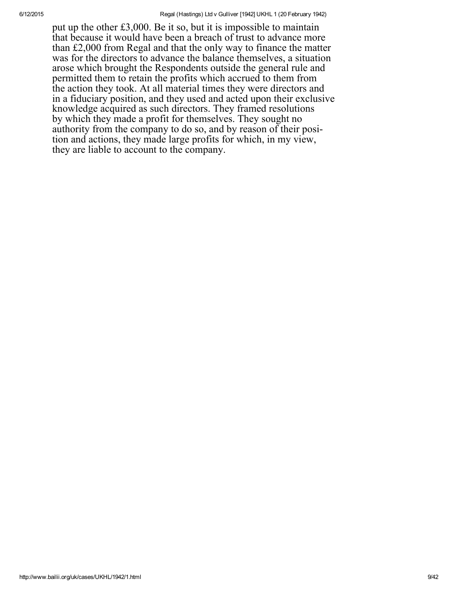put up the other £3,000. Be it so, but it is impossible to maintain that because it would have been a breach of trust to advance more than £2,000 from Regal and that the only way to finance the matter was for the directors to advance the balance themselves, a situation arose which brought the Respondents outside the general rule and permitted them to retain the profits which accrued to them from the action they took. At all material times they were directors and in a fiduciary position, and they used and acted upon their exclusive knowledge acquired as such directors. They framed resolutions by which they made a profit for themselves. They sought no authority from the company to do so, and by reason of their position and actions, they made large profits for which, in my view, they are liable to account to the company.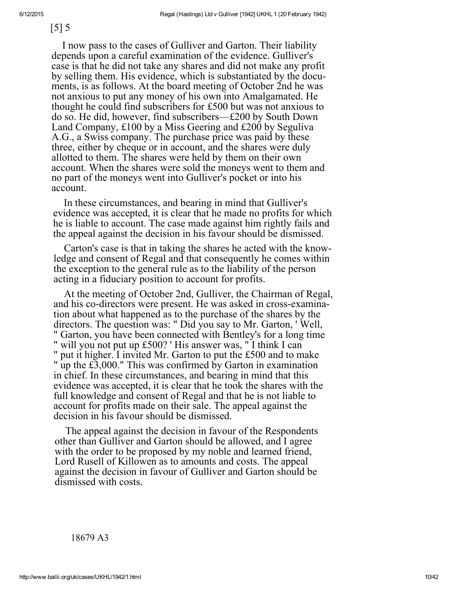#### [5] 5

I now pass to the cases of Gulliver and Garton. Their liability depends upon a careful examination of the evidence. Gulliver's case is that he did not take any shares and did not make any profit by selling them. His evidence, which is substantiated by the documents, is as follows. At the board meeting of October 2nd he was not anxious to put any money of his own into Amalgamated. He thought he could find subscribers for £500 but was not anxious to do so. He did, however, find subscribers—£200 by South Down Land Company, £100 by a Miss Geering and £200 by Seguliva A.G., a Swiss company. The purchase price was paid by these three, either by cheque or in account, and the shares were duly allotted to them. The shares were held by them on their own account. When the shares were sold the moneys went to them and no part of the moneys went into Gulliver's pocket or into his account.

In these circumstances, and bearing in mind that Gulliver's evidence was accepted, it is clear that he made no profits for which he is liable to account. The case made against him rightly fails and the appeal against the decision in his favour should be dismissed.

Carton's case is that in taking the shares he acted with the knowledge and consent of Regal and that consequently he comes within the exception to the general rule as to the liability of the person acting in a fiduciary position to account for profits.

At the meeting of October 2nd, Gulliver, the Chairman of Regal, and his co-directors were present. He was asked in cross-examination about what happened as to the purchase of the shares by the directors. The question was: " Did you say to Mr. Garton, ' Well, " Garton, you have been connected with Bentley's for a long time " will you not put up £500? ' His answer was, " I think I can " put it higher. I invited Mr. Garton to put the £500 and to make " up the £3,000." This was confirmed by Garton in examination in chief. In these circumstances, and bearing in mind that this evidence was accepted, it is clear that he took the shares with the full knowledge and consent of Regal and that he is not liable to account for profits made on their sale. The appeal against the decision in his favour should be dismissed.

The appeal against the decision in favour of the Respondents other than Gulliver and Garton should be allowed, and I agree with the order to be proposed by my noble and learned friend, Lord Rusell of Killowen as to amounts and costs. The appeal against the decision in favour of Gulliver and Garton should be dismissed with costs.

18679 A3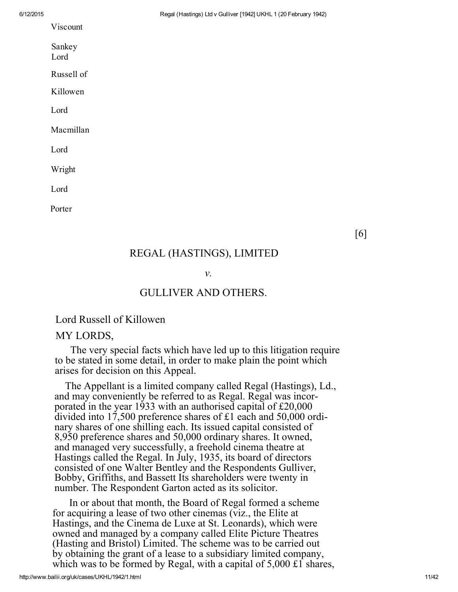Viscount

Sankey Lord

Russell of

Killowen

Lord

Macmillan

Lord

Wright

Lord

Porter

[6]

#### REGAL (HASTINGS), LIMITED

#### $\nu$ .

#### GULLIVER AND OTHERS.

Lord Russell of Killowen

#### MY LORDS,

The very special facts which have led up to this litigation require to be stated in some detail, in order to make plain the point which arises for decision on this Appeal.

The Appellant is a limited company called Regal (Hastings), Ld., and may conveniently be referred to as Regal. Regal was incorporated in the year 1933 with an authorised capital of £20,000 divided into 17,500 preference shares of £1 each and 50,000 ordinary shares of one shilling each. Its issued capital consisted of 8,950 preference shares and 50,000 ordinary shares. It owned, and managed very successfully, a freehold cinema theatre at Hastings called the Regal. In July, 1935, its board of directors consisted of one Walter Bentley and the Respondents Gulliver, Bobby, Griffiths, and Bassett Its shareholders were twenty in number. The Respondent Garton acted as its solicitor.

In or about that month, the Board of Regal formed a scheme for acquiring a lease of two other cinemas (viz., the Elite at Hastings, and the Cinema de Luxe at St. Leonards), which were owned and managed by a company called Elite Picture Theatres (Hasting and Bristol) Limited. The scheme was to be carried out by obtaining the grant of a lease to a subsidiary limited company, which was to be formed by Regal, with a capital of 5,000 £1 shares,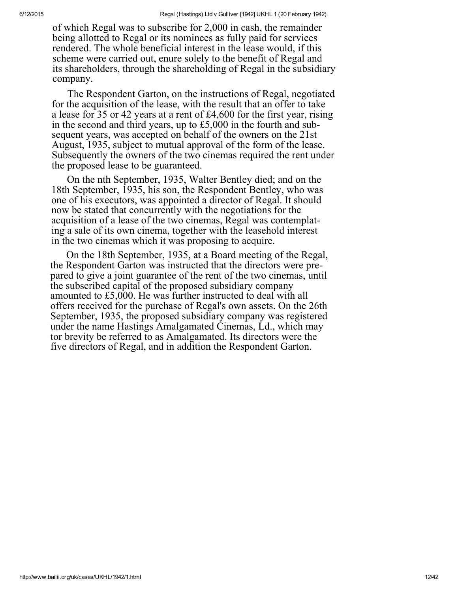of which Regal was to subscribe for 2,000 in cash, the remainder being allotted to Regal or its nominees as fully paid for services rendered. The whole beneficial interest in the lease would, if this scheme were carried out, enure solely to the benefit of Regal and its shareholders, through the shareholding of Regal in the subsidiary company.

The Respondent Garton, on the instructions of Regal, negotiated for the acquisition of the lease, with the result that an offer to take a lease for 35 or 42 years at a rent of £4,600 for the first year, rising in the second and third years, up to £5,000 in the fourth and subsequent years, was accepted on behalf of the owners on the 21st August, 1935, subject to mutual approval of the form of the lease. Subsequently the owners of the two cinemas required the rent under the proposed lease to be guaranteed.

On the nth September, 1935, Walter Bentley died; and on the 18th September, 1935, his son, the Respondent Bentley, who was one of his executors, was appointed a director of Regal. It should now be stated that concurrently with the negotiations for the acquisition of a lease of the two cinemas, Regal was contemplating a sale of its own cinema, together with the leasehold interest in the two cinemas which it was proposing to acquire.

On the 18th September, 1935, at a Board meeting of the Regal, the Respondent Garton was instructed that the directors were prepared to give a joint guarantee of the rent of the two cinemas, until the subscribed capital of the proposed subsidiary company amounted to £5,000. He was further instructed to deal with all offers received for the purchase of Regal's own assets. On the 26th September, 1935, the proposed subsidiary company was registered under the name Hastings Amalgamated Cinemas, Ld., which may tor brevity be referred to as Amalgamated. Its directors were the five directors of Regal, and in addition the Respondent Garton.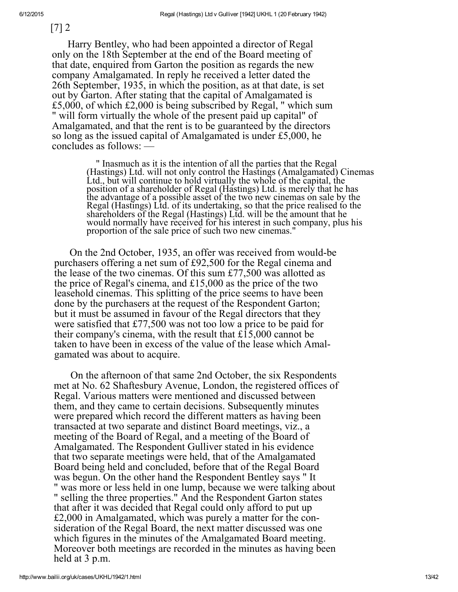#### [7] 2

Harry Bentley, who had been appointed a director of Regal only on the 18th September at the end of the Board meeting of that date, enquired from Garton the position as regards the new company Amalgamated. In reply he received a letter dated the 26th September, 1935, in which the position, as at that date, is set out by Garton. After stating that the capital of Amalgamated is £5,000, of which £2,000 is being subscribed by Regal, " which sum " will form virtually the whole of the present paid up capital" of Amalgamated, and that the rent is to be guaranteed by the directors so long as the issued capital of Amalgamated is under £5,000, he concludes as follows: —

> " Inasmuch as it is the intention of all the parties that the Regal (Hastings) Ltd. will not only control the Hastings (Amalgamated) Cinemas Ltd., but will continue to hold virtually the whole of the capital, the position of a shareholder of Regal (Hastings) Ltd. is merely that he has the advantage of a possible asset of the two new cinemas on sale by the Regal (Hastings) Ltd. of its undertaking, so that the price realised to the shareholders of the Regal (Hastings) Ltd. will be the amount that he would normally have received for his interest in such company, plus his proportion of the sale price of such two new cinemas."

On the 2nd October, 1935, an offer was received from would-be purchasers offering a net sum of £92,500 for the Regal cinema and the lease of the two cinemas. Of this sum £77,500 was allotted as the price of Regal's cinema, and £15,000 as the price of the two leasehold cinemas. This splitting of the price seems to have been done by the purchasers at the request of the Respondent Garton; but it must be assumed in favour of the Regal directors that they were satisfied that £77,500 was not too low a price to be paid for their company's cinema, with the result that £15,000 cannot be taken to have been in excess of the value of the lease which Amalgamated was about to acquire.

On the afternoon of that same 2nd October, the six Respondents met at No. 62 Shaftesbury Avenue, London, the registered offices of Regal. Various matters were mentioned and discussed between them, and they came to certain decisions. Subsequently minutes were prepared which record the different matters as having been transacted at two separate and distinct Board meetings, viz., a meeting of the Board of Regal, and a meeting of the Board of Amalgamated. The Respondent Gulliver stated in his evidence that two separate meetings were held, that of the Amalgamated Board being held and concluded, before that of the Regal Board was begun. On the other hand the Respondent Bentley says " It " was more or less held in one lump, because we were talking about " selling the three properties." And the Respondent Garton states that after it was decided that Regal could only afford to put up £2,000 in Amalgamated, which was purely a matter for the consideration of the Regal Board, the next matter discussed was one which figures in the minutes of the Amalgamated Board meeting. Moreover both meetings are recorded in the minutes as having been held at 3 p.m.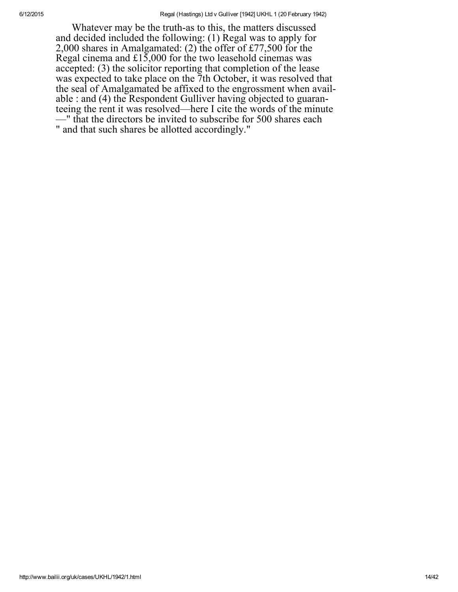Whatever may be the truth-as to this, the matters discussed and decided included the following: (1) Regal was to apply for 2,000 shares in Amalgamated: (2) the offer of £77,500 for the Regal cinema and £15,000 for the two leasehold cinemas was accepted: (3) the solicitor reporting that completion of the lease was expected to take place on the 7th October, it was resolved that the seal of Amalgamated be affixed to the engrossment when available : and (4) the Respondent Gulliver having objected to guaranteeing the rent it was resolved—here I cite the words of the minute —" that the directors be invited to subscribe for 500 shares each " and that such shares be allotted accordingly."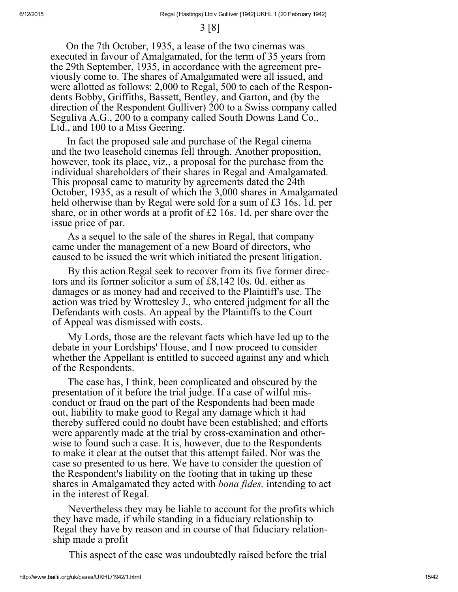### 3 [8]

On the 7th October, 1935, a lease of the two cinemas was executed in favour of Amalgamated, for the term of 35 years from the 29th September, 1935, in accordance with the agreement previously come to. The shares of Amalgamated were all issued, and were allotted as follows: 2,000 to Regal, 500 to each of the Respondents Bobby, Griffiths, Bassett, Bentley, and Garton, and (by the direction of the Respondent Gulliver) 200 to a Swiss company called Seguliva A.G., 200 to a company called South Downs Land Co., Ltd., and 100 to a Miss Geering.

In fact the proposed sale and purchase of the Regal cinema and the two leasehold cinemas fell through. Another proposition, however, took its place, viz., a proposal for the purchase from the individual shareholders of their shares in Regal and Amalgamated. This proposal came to maturity by agreements dated the 24th October, 1935, as a result of which the 3,000 shares in Amalgamated held otherwise than by Regal were sold for a sum of £3 16s. 1d. per share, or in other words at a profit of £2 16s. 1d. per share over the issue price of par.

As a sequel to the sale of the shares in Regal, that company came under the management of a new Board of directors, who caused to be issued the writ which initiated the present litigation.

By this action Regal seek to recover from its five former directors and its former solicitor a sum of £8,142 l0s. 0d. either as damages or as money had and received to the Plaintiff's use. The action was tried by Wrottesley J., who entered judgment for all the Defendants with costs. An appeal by the Plaintiffs to the Court of Appeal was dismissed with costs.

My Lords, those are the relevant facts which have led up to the debate in your Lordships' House, and I now proceed to consider whether the Appellant is entitled to succeed against any and which of the Respondents.

The case has, I think, been complicated and obscured by the presentation of it before the trial judge. If a case of wilful misconduct or fraud on the part of the Respondents had been made out, liability to make good to Regal any damage which it had thereby suffered could no doubt have been established; and efforts were apparently made at the trial by cross-examination and otherwise to found such a case. It is, however, due to the Respondents to make it clear at the outset that this attempt failed. Nor was the case so presented to us here. We have to consider the question of the Respondent's liability on the footing that in taking up these shares in Amalgamated they acted with *bona fides*, intending to act in the interest of Regal.

Nevertheless they may be liable to account for the profits which they have made, if while standing in a fiduciary relationship to Regal they have by reason and in course of that fiduciary relationship made a profit

This aspect of the case was undoubtedly raised before the trial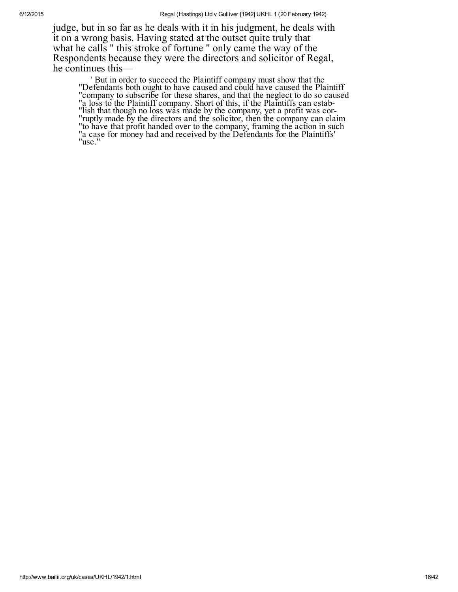judge, but in so far as he deals with it in his judgment, he deals with it on a wrong basis. Having stated at the outset quite truly that what he calls " this stroke of fortune " only came the way of the Respondents because they were the directors and solicitor of Regal, he continues this—

' But in order to succeed the Plaintiff company must show that the "Defendants both ought to have caused and could have caused the Plaintiff "company to subscribe for these shares, and that the neglect to do so caused "a loss to the Plaintiff company. Short of this, if the Plaintiffs can estab "lish that though no loss was made by the company, yet a profit was cor "ruptly made by the directors and the solicitor, then the company can claim "to have that profit handed over to the company, framing the action in such "a case for money had and received by the Defendants for the Plaintiffs' "use."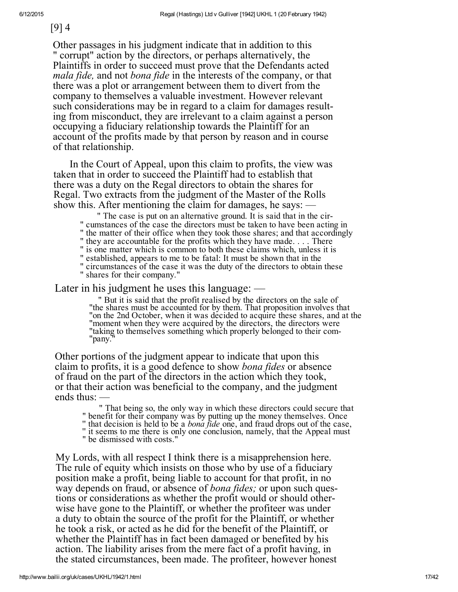### [9] 4

Other passages in his judgment indicate that in addition to this " corrupt" action by the directors, or perhaps alternatively, the Plaintiffs in order to succeed must prove that the Defendants acted mala fide, and not bona fide in the interests of the company, or that there was a plot or arrangement between them to divert from the company to themselves a valuable investment. However relevant such considerations may be in regard to a claim for damages resulting from misconduct, they are irrelevant to a claim against a person occupying a fiduciary relationship towards the Plaintiff for an account of the profits made by that person by reason and in course of that relationship.

In the Court of Appeal, upon this claim to profits, the view was taken that in order to succeed the Plaintiff had to establish that there was a duty on the Regal directors to obtain the shares for Regal. Two extracts from the judgment of the Master of the Rolls show this. After mentioning the claim for damages, he says: -

" The case is put on an alternative ground. It is said that in the cir " cumstances of the case the directors must be taken to have been acting in " the matter of their office when they took those shares; and that accordingly " they are accountable for the profits which they have made. . . . There " is one matter which is common to both these claims which, unless it is " established, appears to me to be fatal: It must be shown that in the " circumstances of the case it was the duty of the directors to obtain these " shares for their company."

Later in his judgment he uses this language: —

" But it is said that the profit realised by the directors on the sale of "the shares must be accounted for by them. That proposition involves that "on the 2nd October, when it was decided to acquire these shares, and at the "moment when they were acquired by the directors, the directors were "taking to themselves something which properly belonged to their com "pany.

Other portions of the judgment appear to indicate that upon this claim to profits, it is a good defence to show bona fides or absence of fraud on the part of the directors in the action which they took, or that their action was beneficial to the company, and the judgment ends thus: —

" That being so, the only way in which these directors could secure that " benefit for their company was by putting up the money themselves. Once<br>" that decision is held to be a *bona fide* one, and fraud drops out of the case,<br>" it seems to me there is only one conclusion, namely, that the App " be dismissed with costs."

My Lords, with all respect I think there is a misapprehension here. The rule of equity which insists on those who by use of a fiduciary position make a profit, being liable to account for that profit, in no way depends on fraud, or absence of *bona fides*; or upon such questions or considerations as whether the profit would or should otherwise have gone to the Plaintiff, or whether the profiteer was under a duty to obtain the source of the profit for the Plaintiff, or whether he took a risk, or acted as he did for the benefit of the Plaintiff, or whether the Plaintiff has in fact been damaged or benefited by his action. The liability arises from the mere fact of a profit having, in the stated circumstances, been made. The profiteer, however honest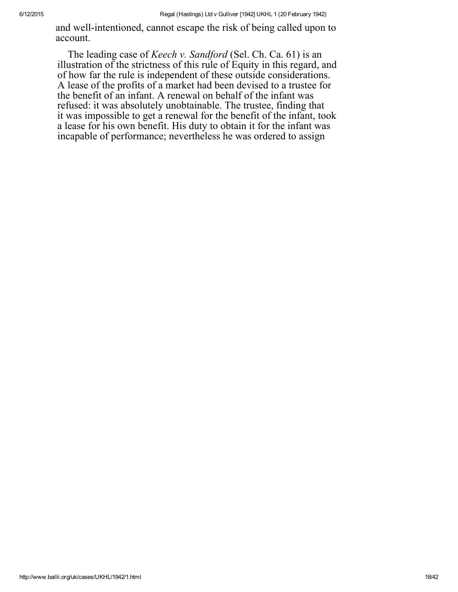and well-intentioned, cannot escape the risk of being called upon to account.

The leading case of *Keech v. Sandford* (Sel. Ch. Ca. 61) is an illustration of the strictness of this rule of Equity in this regard, and of how far the rule is independent of these outside considerations. A lease of the profits of a market had been devised to a trustee for the benefit of an infant. A renewal on behalf of the infant was refused: it was absolutely unobtainable. The trustee, finding that it was impossible to get a renewal for the benefit of the infant, took a lease for his own benefit. His duty to obtain it for the infant was incapable of performance; nevertheless he was ordered to assign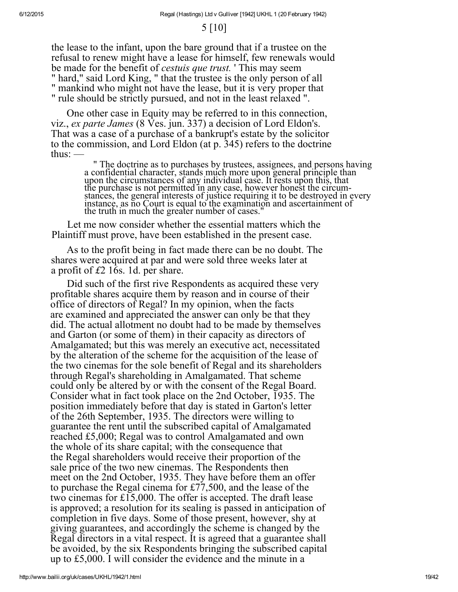### 5 [10]

the lease to the infant, upon the bare ground that if a trustee on the refusal to renew might have a lease for himself, few renewals would be made for the benefit of *cestuis que trust*. This may seem " hard," said Lord King, " that the trustee is the only person of all " mankind who might not have the lease, but it is very proper that " rule should be strictly pursued, and not in the least relaxed ".

One other case in Equity may be referred to in this connection, viz., ex parte James (8 Ves. jun. 337) a decision of Lord Eldon's. That was a case of a purchase of a bankrupt's estate by the solicitor to the commission, and Lord Eldon (at p. 345) refers to the doctrine thus: —

> " The doctrine as to purchases by trustees, assignees, and persons having a confidential character, stands much more upon general principle than upon the circumstances of any individual case. It rests upon this, that the purchase is not permitted in any case, however honest the circumstances, the general interests of justice requiring it to be destroyed in every instance, as no Court is equal to the examination and ascertainment of the truth in much the greater number of cases."

Let me now consider whether the essential matters which the Plaintiff must prove, have been established in the present case.

As to the profit being in fact made there can be no doubt. The shares were acquired at par and were sold three weeks later at a profit of £2 16s. 1d. per share.

Did such of the first rive Respondents as acquired these very profitable shares acquire them by reason and in course of their office of directors of Regal? In my opinion, when the facts are examined and appreciated the answer can only be that they did. The actual allotment no doubt had to be made by themselves and Garton (or some of them) in their capacity as directors of Amalgamated; but this was merely an executive act, necessitated by the alteration of the scheme for the acquisition of the lease of the two cinemas for the sole benefit of Regal and its shareholders through Regal's shareholding in Amalgamated. That scheme could only be altered by or with the consent of the Regal Board. Consider what in fact took place on the 2nd October, 1935. The position immediately before that day is stated in Garton's letter of the 26th September, 1935. The directors were willing to guarantee the rent until the subscribed capital of Amalgamated reached £5,000; Regal was to control Amalgamated and own the whole of its share capital; with the consequence that the Regal shareholders would receive their proportion of the sale price of the two new cinemas. The Respondents then meet on the 2nd October, 1935. They have before them an offer to purchase the Regal cinema for £77,500, and the lease of the two cinemas for £15,000. The offer is accepted. The draft lease is approved; a resolution for its sealing is passed in anticipation of completion in five days. Some of those present, however, shy at giving guarantees, and accordingly the scheme is changed by the Regal directors in a vital respect. It is agreed that a guarantee shall be avoided, by the six Respondents bringing the subscribed capital up to £5,000. I will consider the evidence and the minute in a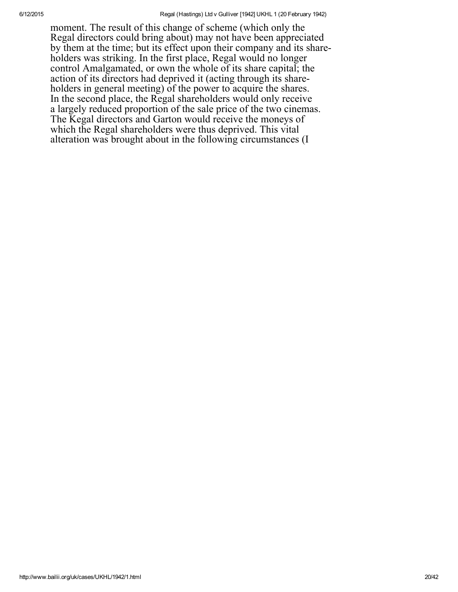moment. The result of this change of scheme (which only the Regal directors could bring about) may not have been appreciated by them at the time; but its effect upon their company and its shareholders was striking. In the first place, Regal would no longer control Amalgamated, or own the whole of its share capital; the action of its directors had deprived it (acting through its shareholders in general meeting) of the power to acquire the shares. In the second place, the Regal shareholders would only receive a largely reduced proportion of the sale price of the two cinemas. The Kegal directors and Garton would receive the moneys of which the Regal shareholders were thus deprived. This vital alteration was brought about in the following circumstances (I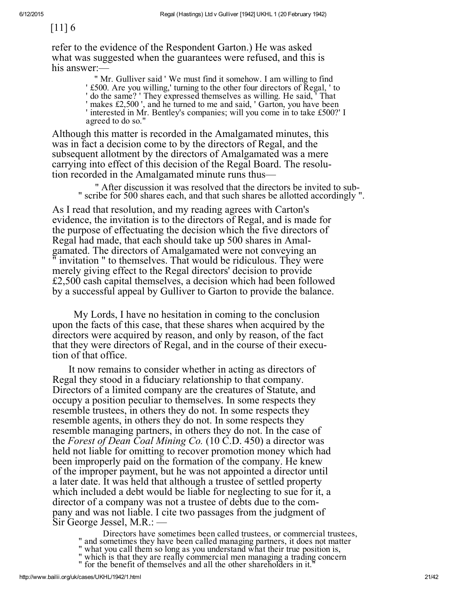#### [11] 6

refer to the evidence of the Respondent Garton.) He was asked what was suggested when the guarantees were refused, and this is his answer:—

> " Mr. Gulliver said ' We must find it somehow. I am willing to find ' £500. Are you willing,' turning to the other four directors of Regal, ' to ' do the same? ' They expressed themselves as willing. He said, ' That 'makes £2,500', and he turned to me and said, ' Garton, you have been ' interested in Mr. Bentley's companies; will you come in to take £500?' I agreed to do so."

Although this matter is recorded in the Amalgamated minutes, this was in fact a decision come to by the directors of Regal, and the subsequent allotment by the directors of Amalgamated was a mere carrying into effect of this decision of the Regal Board. The resolution recorded in the Amalgamated minute runs thus—

" After discussion it was resolved that the directors be invited to sub " scribe for 500 shares each, and that such shares be allotted accordingly ".

As I read that resolution, and my reading agrees with Carton's evidence, the invitation is to the directors of Regal, and is made for the purpose of effectuating the decision which the five directors of Regal had made, that each should take up 500 shares in Amalgamated. The directors of Amalgamated were not conveying an invitation " to themselves. That would be ridiculous. They were merely giving effect to the Regal directors' decision to provide £2,500 cash capital themselves, a decision which had been followed by a successful appeal by Gulliver to Garton to provide the balance.

My Lords, I have no hesitation in coming to the conclusion upon the facts of this case, that these shares when acquired by the directors were acquired by reason, and only by reason, of the fact that they were directors of Regal, and in the course of their execution of that office.

It now remains to consider whether in acting as directors of Regal they stood in a fiduciary relationship to that company. Directors of a limited company are the creatures of Statute, and occupy a position peculiar to themselves. In some respects they resemble trustees, in others they do not. In some respects they resemble agents, in others they do not. In some respects they resemble managing partners, in others they do not. In the case of the Forest of Dean Coal Mining Co. (10 C.D. 450) a director was held not liable for omitting to recover promotion money which had been improperly paid on the formation of the company. He knew of the improper payment, but he was not appointed a director until a later date. It was held that although a trustee of settled property which included a debt would be liable for neglecting to sue for it, a director of a company was not a trustee of debts due to the company and was not liable. I cite two passages from the judgment of Sir George Jessel, M.R.: —

Directors have sometimes been called trustees, or commercial trustees, " and sometimes they have been called managing partners, it does not matter

" what you call them so long as you understand what their true position is,

" which is that they are really commercial men managing a trading concern

" for the benefit of themselves and all the other shareholders in it."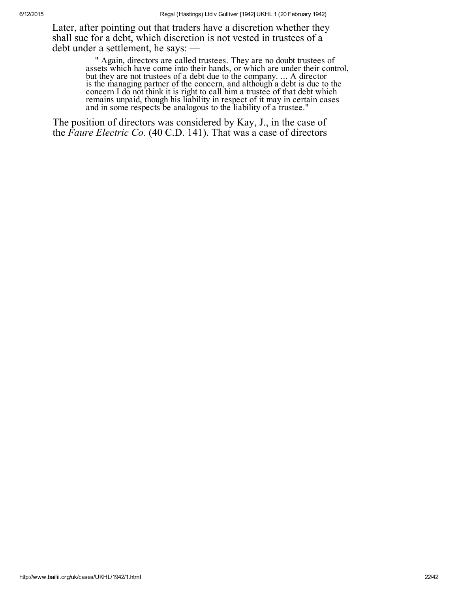Later, after pointing out that traders have a discretion whether they shall sue for a debt, which discretion is not vested in trustees of a debt under a settlement, he says: —

> " Again, directors are called trustees. They are no doubt trustees of assets which have come into their hands, or which are under their control, but they are not trustees of a debt due to the company. ... A director is the managing partner of the concern, and although a debt is due to the concern I do not think it is right to call him a trustee of that debt which remains unpaid, though his liability in respect of it may in certain cases and in some respects be analogous to the liability of a trustee."

The position of directors was considered by Kay, J., in the case of the Faure Electric Co.  $(40 \text{ C.D. } 141)$ . That was a case of directors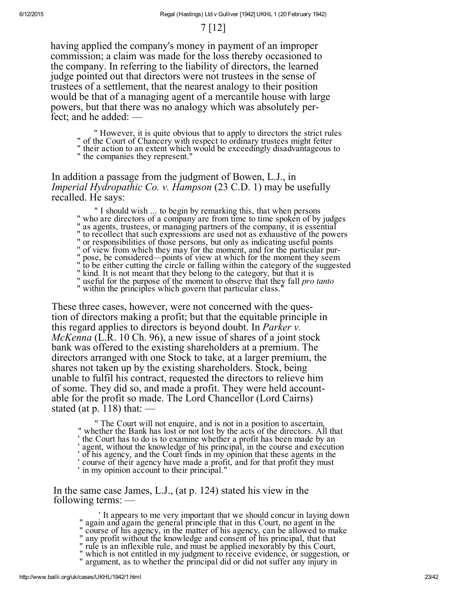### 7 [12]

having applied the company's money in payment of an improper commission; a claim was made for the loss thereby occasioned to the company. In referring to the liability of directors, the learned judge pointed out that directors were not trustees in the sense of trustees of a settlement, that the nearest analogy to their position would be that of a managing agent of a mercantile house with large powers, but that there was no analogy which was absolutely perfect; and he added: —

" However, it is quite obvious that to apply to directors the strict rules " of the Court of Chancery with respect to ordinary trustees might fetter " their action to an extent which would be exceedingly disadvantageous to

" the companies they represent."

In addition a passage from the judgment of Bowen, L.J., in Imperial Hydropathic Co. v. Hampson (23 C.D. 1) may be usefully recalled. He says:

" I should wish ... to begin by remarking this, that when persons " who are directors of a company are from time to time spoken of by judges " as agents, trustees, or managing partners of the company, it is essential " to recollect that such expressions are used not as exhaustive of the powers " or responsibilities of those persons, but only as indicating useful points '' of view from which they may for the moment, and for the particular pur " pose, be considered—points of view at which for the moment they seem " to be either cutting the circle or falling within the category of the suggested " kind. It is not meant that they belong to the category, but that it is " useful for the purpose of the moment to observe that they fall *pro tanto* " within the principles which govern that particular class."

These three cases, however, were not concerned with the question of directors making a profit; but that the equitable principle in this regard applies to directors is beyond doubt. In Parker v. McKenna (L.R. 10 Ch. 96), a new issue of shares of a joint stock bank was offered to the existing shareholders at a premium. The directors arranged with one Stock to take, at a larger premium, the shares not taken up by the existing shareholders. Stock, being unable to fulfil his contract, requested the directors to relieve him of some. They did so, and made a profit. They were held accountable for the profit so made. The Lord Chancellor (Lord Cairns) stated (at p. 118) that:  $\frac{ }{ }$ 

" The Court will not enquire, and is not in a position to ascertain, " whether the Bank has lost or not lost by the acts of the directors. All that the Court has to do is to examine whether a profit has been made by an<br>l'agent, without the knowledge of his principal, in the course and execution<br>l'of his agency, and the Court finds in my opinion that these agents in th ' course of their agency have made a profit, and for that profit they must ' in my opinion account to their principal."

In the same case James, L.J., (at p. 124) stated his view in the following terms: —

' It appears to me very important that we should concur in laying down " again and again the general principle that in this Court, no agent in the " course of his agency, in the matter of his agency, can be allowed to make " any profit without the knowledge and consent of his principal, that that " rule is an inflexible rule, and must be applied inexorably by this Court, " which is not entitled in my judgment to receive evidence, or suggestion, or " argument, as to whether the principal did or did not suffer any injury in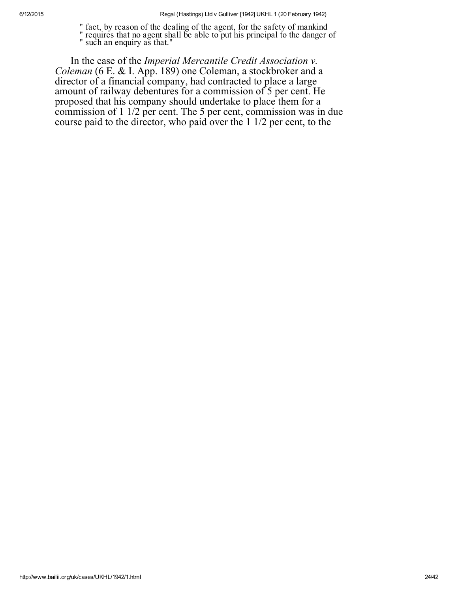" fact, by reason of the dealing of the agent, for the safety of mankind

" requires that no agent shall be able to put his principal to the danger of " such an enquiry as that."

In the case of the Imperial Mercantile Credit Association v. Coleman (6 E. & I. App. 189) one Coleman, a stockbroker and a director of a financial company, had contracted to place a large amount of railway debentures for a commission of 5 per cent. He proposed that his company should undertake to place them for a commission of 1 1/2 per cent. The 5 per cent, commission was in due course paid to the director, who paid over the 1 1/2 per cent, to the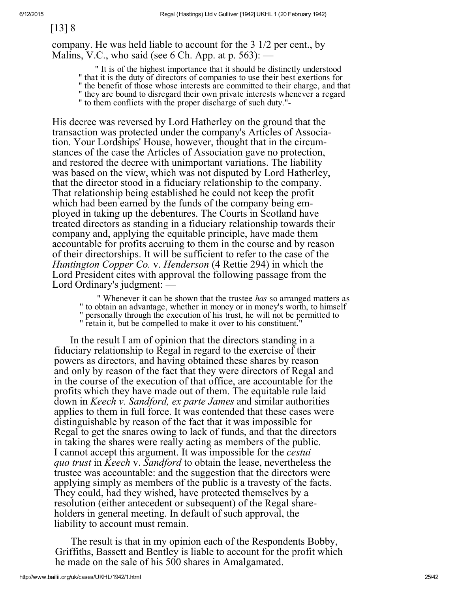#### [13] 8

company. He was held liable to account for the 3 1/2 per cent., by Malins, V.C., who said (see 6 Ch. App. at  $p. 563$ ):  $-$ 

" It is of the highest importance that it should be distinctly understood

" that it is the duty of directors of companies to use their best exertions for

" the benefit of those whose interests are committed to their charge, and that " they are bound to disregard their own private interests whenever a regard

" to them conflicts with the proper discharge of such duty."

His decree was reversed by Lord Hatherley on the ground that the transaction was protected under the company's Articles of Association. Your Lordships' House, however, thought that in the circumstances of the case the Articles of Association gave no protection, and restored the decree with unimportant variations. The liability was based on the view, which was not disputed by Lord Hatherley, that the director stood in a fiduciary relationship to the company. That relationship being established he could not keep the profit which had been earned by the funds of the company being employed in taking up the debentures. The Courts in Scotland have treated directors as standing in a fiduciary relationship towards their company and, applying the equitable principle, have made them accountable for profits accruing to them in the course and by reason of their directorships. It will be sufficient to refer to the case of the Huntington Copper Co. v. Henderson (4 Rettie 294) in which the Lord President cites with approval the following passage from the Lord Ordinary's judgment: —

" Whenever it can be shown that the trustee has so arranged matters as " to obtain an advantage, whether in money or in money's worth, to himself " personally through the execution of his trust, he will not be permitted to

" retain it, but be compelled to make it over to his constituent."

In the result I am of opinion that the directors standing in a fiduciary relationship to Regal in regard to the exercise of their powers as directors, and having obtained these shares by reason and only by reason of the fact that they were directors of Regal and in the course of the execution of that office, are accountable for the profits which they have made out of them. The equitable rule laid down in *Keech v. Sandford, ex parte James* and similar authorities applies to them in full force. It was contended that these cases were distinguishable by reason of the fact that it was impossible for Regal to get the snares owing to lack of funds, and that the directors in taking the shares were really acting as members of the public. I cannot accept this argument. It was impossible for the cestui quo trust in Keech v. Sandford to obtain the lease, nevertheless the trustee was accountable: and the suggestion that the directors were applying simply as members of the public is a travesty of the facts. They could, had they wished, have protected themselves by a resolution (either antecedent or subsequent) of the Regal shareholders in general meeting. In default of such approval, the liability to account must remain.

The result is that in my opinion each of the Respondents Bobby, Griffiths, Bassett and Bentley is liable to account for the profit which he made on the sale of his 500 shares in Amalgamated.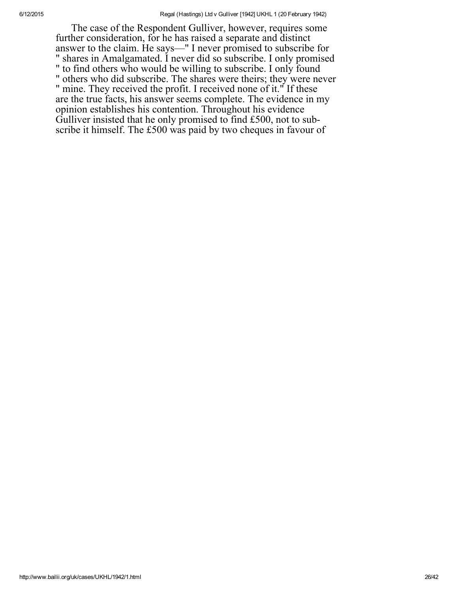The case of the Respondent Gulliver, however, requires some further consideration, for he has raised a separate and distinct answer to the claim. He says—" I never promised to subscribe for " shares in Amalgamated. I never did so subscribe. I only promised " to find others who would be willing to subscribe. I only found " others who did subscribe. The shares were theirs; they were never " mine. They received the profit. I received none of it." If these are the true facts, his answer seems complete. The evidence in my opinion establishes his contention. Throughout his evidence Gulliver insisted that he only promised to find £500, not to subscribe it himself. The £500 was paid by two cheques in favour of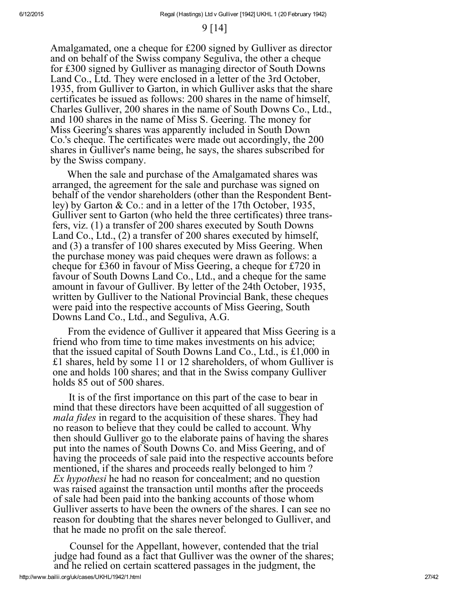### 9 [14]

Amalgamated, one a cheque for £200 signed by Gulliver as director and on behalf of the Swiss company Seguliva, the other a cheque for £300 signed by Gulliver as managing director of South Downs Land Co., Ltd. They were enclosed in a letter of the 3rd October, 1935, from Gulliver to Garton, in which Gulliver asks that the share certificates be issued as follows: 200 shares in the name of himself, Charles Gulliver, 200 shares in the name of South Downs Co., Ltd., and 100 shares in the name of Miss S. Geering. The money for Miss Geering's shares was apparently included in South Down Co.'s cheque. The certificates were made out accordingly, the 200 shares in Gulliver's name being, he says, the shares subscribed for by the Swiss company.

When the sale and purchase of the Amalgamated shares was arranged, the agreement for the sale and purchase was signed on behalf of the vendor shareholders (other than the Respondent Bentley) by Garton & Co.: and in a letter of the 17th October, 1935, Gulliver sent to Garton (who held the three certificates) three transfers, viz. (1) a transfer of 200 shares executed by South Downs Land Co., Ltd., (2) a transfer of 200 shares executed by himself, and (3) a transfer of 100 shares executed by Miss Geering. When the purchase money was paid cheques were drawn as follows: a cheque for £360 in favour of Miss Geering, a cheque for £720 in favour of South Downs Land Co., Ltd., and a cheque for the same amount in favour of Gulliver. By letter of the 24th October, 1935, written by Gulliver to the National Provincial Bank, these cheques were paid into the respective accounts of Miss Geering, South Downs Land Co., Ltd., and Seguliva, A.G.

From the evidence of Gulliver it appeared that Miss Geering is a friend who from time to time makes investments on his advice; that the issued capital of South Downs Land Co., Ltd., is £1,000 in £1 shares, held by some 11 or 12 shareholders, of whom Gulliver is one and holds 100 shares; and that in the Swiss company Gulliver holds 85 out of 500 shares.

It is of the first importance on this part of the case to bear in mind that these directors have been acquitted of all suggestion of mala fides in regard to the acquisition of these shares. They had no reason to believe that they could be called to account. Why then should Gulliver go to the elaborate pains of having the shares put into the names of South Downs Co. and Miss Geering, and of having the proceeds of sale paid into the respective accounts before mentioned, if the shares and proceeds really belonged to him ? Ex hypothesi he had no reason for concealment; and no question was raised against the transaction until months after the proceeds of sale had been paid into the banking accounts of those whom Gulliver asserts to have been the owners of the shares. I can see no reason for doubting that the shares never belonged to Gulliver, and that he made no profit on the sale thereof.

http://www.bailii.org/uk/cases/UKHL/1942/1.html 27/42 Counsel for the Appellant, however, contended that the trial judge had found as a fact that Gulliver was the owner of the shares; and he relied on certain scattered passages in the judgment, the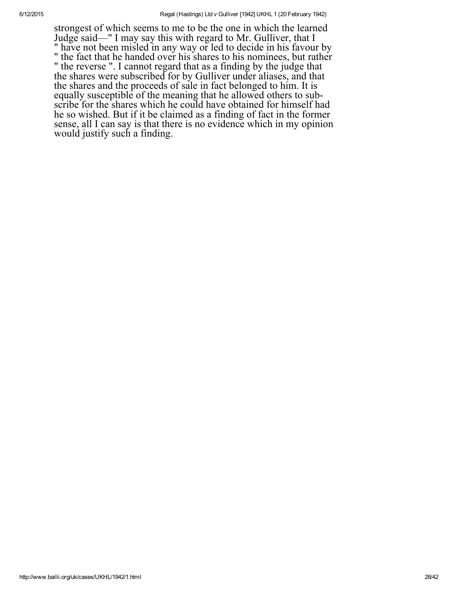strongest of which seems to me to be the one in which the learned Judge said—" I may say this with regard to Mr. Gulliver, that I " have not been misled in any way or led to decide in his favour by " the fact that he handed over his shares to his nominees, but rather " the reverse ". I cannot regard that as a finding by the judge that the shares were subscribed for by Gulliver under aliases, and that the shares and the proceeds of sale in fact belonged to him. It is equally susceptible of the meaning that he allowed others to subscribe for the shares which he could have obtained for himself had he so wished. But if it be claimed as a finding of fact in the former sense, all I can say is that there is no evidence which in my opinion would justify such a finding.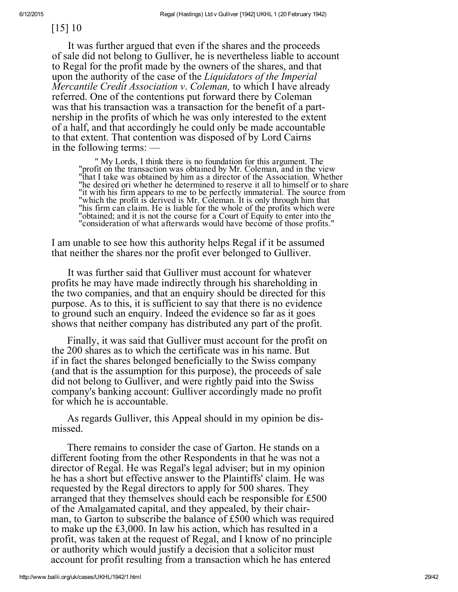#### [15] 10

It was further argued that even if the shares and the proceeds of sale did not belong to Gulliver, he is nevertheless liable to account to Regal for the profit made by the owners of the shares, and that upon the authority of the case of the Liquidators of the Imperial Mercantile Credit Association v. Coleman, to which I have already referred. One of the contentions put forward there by Coleman was that his transaction was a transaction for the benefit of a partnership in the profits of which he was only interested to the extent of a half, and that accordingly he could only be made accountable to that extent. That contention was disposed of by Lord Cairns in the following terms: —

" My Lords, I think there is no foundation for this argument. The "profit on the transaction was obtained by Mr. Coleman, and in the view "that I take was obtained by him as a director of the Association. Whether "he desired ori whether he determined to reserve it all to himself or to share "it with his firm appears to me to be perfectly immaterial. The source from "which the profit is derived is Mr. Coleman. It is only through him that "his firm can claim. He is liable for the whole of the profits which were "obtained; and it is not the course for a Court of Equity to enter into the "consideration of what afterwards would have become of those profits."

I am unable to see how this authority helps Regal if it be assumed that neither the shares nor the profit ever belonged to Gulliver.

It was further said that Gulliver must account for whatever profits he may have made indirectly through his shareholding in the two companies, and that an enquiry should be directed for this purpose. As to this, it is sufficient to say that there is no evidence to ground such an enquiry. Indeed the evidence so far as it goes shows that neither company has distributed any part of the profit.

Finally, it was said that Gulliver must account for the profit on the 200 shares as to which the certificate was in his name. But if in fact the shares belonged beneficially to the Swiss company (and that is the assumption for this purpose), the proceeds of sale did not belong to Gulliver, and were rightly paid into the Swiss company's banking account: Gulliver accordingly made no profit for which he is accountable.

As regards Gulliver, this Appeal should in my opinion be dismissed.

There remains to consider the case of Garton. He stands on a different footing from the other Respondents in that he was not a director of Regal. He was Regal's legal adviser; but in my opinion he has a short but effective answer to the Plaintiffs' claim. He was requested by the Regal directors to apply for 500 shares. They arranged that they themselves should each be responsible for £500 of the Amalgamated capital, and they appealed, by their chairman, to Garton to subscribe the balance of £500 which was required to make up the £3,000. In law his action, which has resulted in a profit, was taken at the request of Regal, and I know of no principle or authority which would justify a decision that a solicitor must account for profit resulting from a transaction which he has entered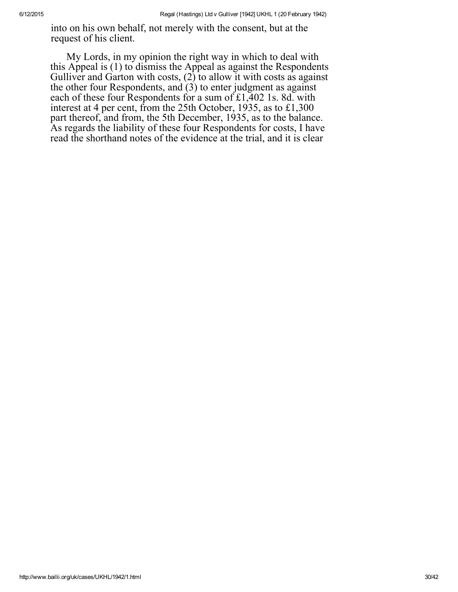into on his own behalf, not merely with the consent, but at the request of his client.

My Lords, in my opinion the right way in which to deal with this Appeal is (1) to dismiss the Appeal as against the Respondents Gulliver and Garton with costs,  $(2)$  to allow it with costs as against the other four Respondents, and  $(3)$  to enter judgment as against each of these four Respondents for a sum of £1,402 1s. 8d. with interest at 4 per cent, from the 25th October, 1935, as to £1,300 part thereof, and from, the 5th December, 1935, as to the balance. As regards the liability of these four Respondents for costs, I have read the shorthand notes of the evidence at the trial, and it is clear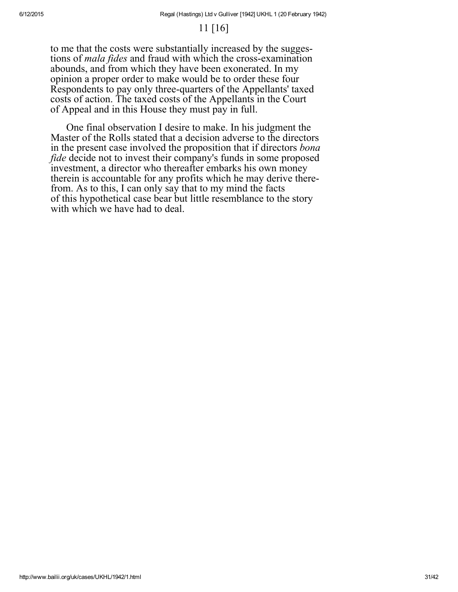### 11 [16]

to me that the costs were substantially increased by the suggestions of *mala fides* and fraud with which the cross-examination abounds, and from which they have been exonerated. In my opinion a proper order to make would be to order these four Respondents to pay only three-quarters of the Appellants' taxed costs of action. The taxed costs of the Appellants in the Court of Appeal and in this House they must pay in full.

One final observation I desire to make. In his judgment the Master of the Rolls stated that a decision adverse to the directors in the present case involved the proposition that if directors bona fide decide not to invest their company's funds in some proposed investment, a director who thereafter embarks his own money therein is accountable for any profits which he may derive therefrom. As to this, I can only say that to my mind the facts of this hypothetical case bear but little resemblance to the story with which we have had to deal.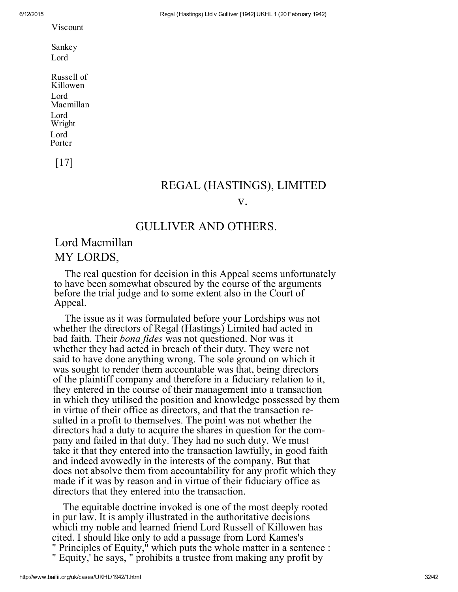Viscount

Sankey Lord

Russell of Killowen Lord Macmillan Lord Wright Lord Porter

[17]

### REGAL (HASTINGS), LIMITED

v.

### GULLIVER AND OTHERS.

### Lord Macmillan MY LORDS,

The real question for decision in this Appeal seems unfortunately to have been somewhat obscured by the course of the arguments before the trial judge and to some extent also in the Court of Appeal.

The issue as it was formulated before your Lordships was not whether the directors of Regal (Hastings) Limited had acted in bad faith. Their bona fides was not questioned. Nor was it whether they had acted in breach of their duty. They were not said to have done anything wrong. The sole ground on which it was sought to render them accountable was that, being directors of the plaintiff company and therefore in a fiduciary relation to it, they entered in the course of their management into a transaction in which they utilised the position and knowledge possessed by them in virtue of their office as directors, and that the transaction resulted in a profit to themselves. The point was not whether the directors had a duty to acquire the shares in question for the company and failed in that duty. They had no such duty. We must take it that they entered into the transaction lawfully, in good faith and indeed avowedly in the interests of the company. But that does not absolve them from accountability for any profit which they made if it was by reason and in virtue of their fiduciary office as directors that they entered into the transaction.

The equitable doctrine invoked is one of the most deeply rooted in pur law. It is amply illustrated in the authoritative decisions whicli my noble and learned friend Lord Russell of Killowen has cited. I should like only to add a passage from Lord Kames's " Principles of Equity," which puts the whole matter in a sentence :

" Equity,' he says, " prohibits a trustee from making any profit by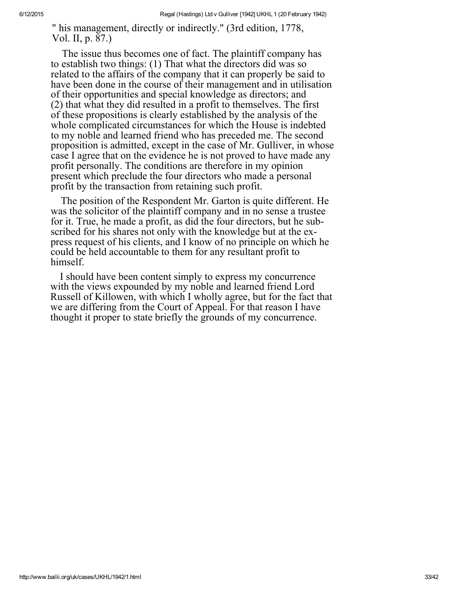" his management, directly or indirectly." (3rd edition, 1778, Vol. II, p. 87.)

The issue thus becomes one of fact. The plaintiff company has to establish two things: (1) That what the directors did was so related to the affairs of the company that it can properly be said to have been done in the course of their management and in utilisation of their opportunities and special knowledge as directors; and (2) that what they did resulted in a profit to themselves. The first of these propositions is clearly established by the analysis of the whole complicated circumstances for which the House is indebted to my noble and learned friend who has preceded me. The second proposition is admitted, except in the case of Mr. Gulliver, in whose case I agree that on the evidence he is not proved to have made any profit personally. The conditions are therefore in my opinion present which preclude the four directors who made a personal profit by the transaction from retaining such profit.

The position of the Respondent Mr. Garton is quite different. He was the solicitor of the plaintiff company and in no sense a trustee for it. True, he made a profit, as did the four directors, but he subscribed for his shares not only with the knowledge but at the express request of his clients, and I know of no principle on which he could be held accountable to them for any resultant profit to himself.

I should have been content simply to express my concurrence with the views expounded by my noble and learned friend Lord Russell of Killowen, with which I wholly agree, but for the fact that we are differing from the Court of Appeal. For that reason I have thought it proper to state briefly the grounds of my concurrence.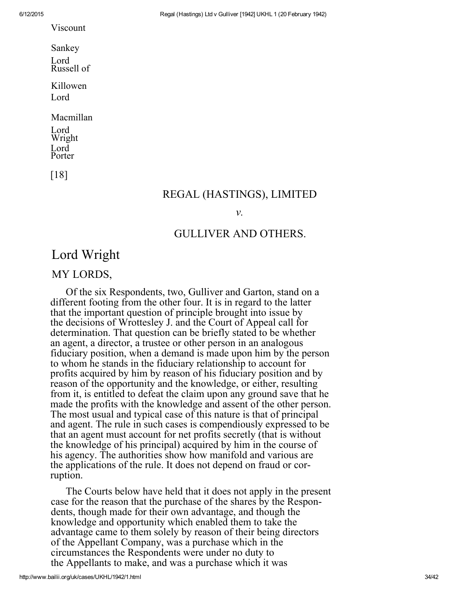Viscount

Sankey Lord Russell of

Killowen Lord

Macmillan Lord Wright Lord Porter

[18]

#### 6/12/2015 Regal (Hastings) Ltd v Gulliver [1942] UKHL 1 (20 February 1942)

### REGAL (HASTINGS), LIMITED

 $\nu$ .

#### GULLIVER AND OTHERS.

### Lord Wright

### MY LORDS,

Of the six Respondents, two, Gulliver and Garton, stand on a different footing from the other four. It is in regard to the latter that the important question of principle brought into issue by the decisions of Wrottesley J. and the Court of Appeal call for determination. That question can be briefly stated to be whether an agent, a director, a trustee or other person in an analogous fiduciary position, when a demand is made upon him by the person to whom he stands in the fiduciary relationship to account for profits acquired by him by reason of his fiduciary position and by reason of the opportunity and the knowledge, or either, resulting from it, is entitled to defeat the claim upon any ground save that he made the profits with the knowledge and assent of the other person. The most usual and typical case of this nature is that of principal and agent. The rule in such cases is compendiously expressed to be that an agent must account for net profits secretly (that is without the knowledge of his principal) acquired by him in the course of his agency. The authorities show how manifold and various are the applications of the rule. It does not depend on fraud or corruption.

The Courts below have held that it does not apply in the present case for the reason that the purchase of the shares by the Respondents, though made for their own advantage, and though the knowledge and opportunity which enabled them to take the advantage came to them solely by reason of their being directors of the Appellant Company, was a purchase which in the circumstances the Respondents were under no duty to the Appellants to make, and was a purchase which it was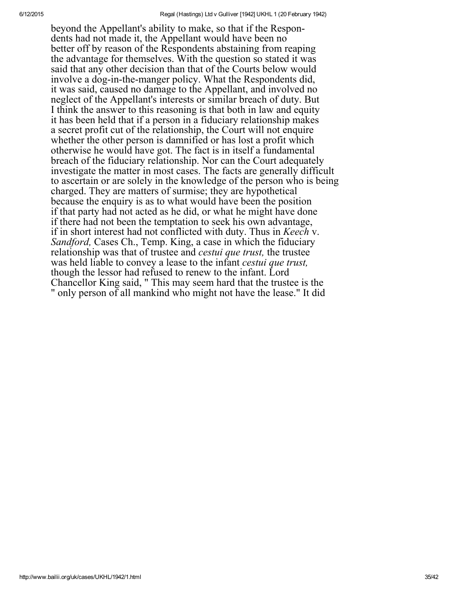beyond the Appellant's ability to make, so that if the Respondents had not made it, the Appellant would have been no better off by reason of the Respondents abstaining from reaping the advantage for themselves. With the question so stated it was said that any other decision than that of the Courts below would involve a dog-in-the-manger policy. What the Respondents did, it was said, caused no damage to the Appellant, and involved no neglect of the Appellant's interests or similar breach of duty. But I think the answer to this reasoning is that both in law and equity it has been held that if a person in a fiduciary relationship makes a secret profit cut of the relationship, the Court will not enquire whether the other person is damnified or has lost a profit which otherwise he would have got. The fact is in itself a fundamental breach of the fiduciary relationship. Nor can the Court adequately investigate the matter in most cases. The facts are generally difficult to ascertain or are solely in the knowledge of the person who is being charged. They are matters of surmise; they are hypothetical because the enquiry is as to what would have been the position if that party had not acted as he did, or what he might have done if there had not been the temptation to seek his own advantage, if in short interest had not conflicted with duty. Thus in Keech v. Sandford, Cases Ch., Temp. King, a case in which the fiduciary relationship was that of trustee and *cestui que trust*, the trustee was held liable to convey a lease to the infant *cestui que trust*, though the lessor had refused to renew to the infant. Lord Chancellor King said, " This may seem hard that the trustee is the " only person of all mankind who might not have the lease." It did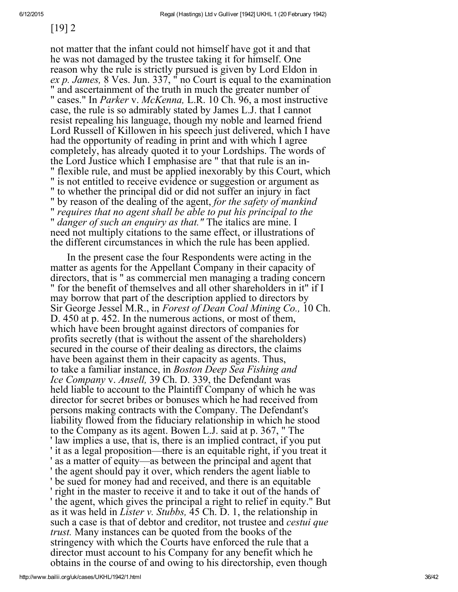#### [19] 2

not matter that the infant could not himself have got it and that he was not damaged by the trustee taking it for himself. One reason why the rule is strictly pursued is given by Lord Eldon in ex p. James,  $8$  Ves. Jun. 337,  $\dot{ }$  no Court is equal to the examination " and ascertainment of the truth in much the greater number of " cases." In Parker v. McKenna, L.R. 10 Ch. 96, a most instructive case, the rule is so admirably stated by James L.J. that I cannot resist repealing his language, though my noble and learned friend Lord Russell of Killowen in his speech just delivered, which I have had the opportunity of reading in print and with which I agree completely, has already quoted it to your Lordships. The words of the Lord Justice which I emphasise are " that that rule is an in " flexible rule, and must be applied inexorably by this Court, which " is not entitled to receive evidence or suggestion or argument as " to whether the principal did or did not suffer an injury in fact " by reason of the dealing of the agent, for the safety of mankind " requires that no agent shall be able to put his principal to the " danger of such an enquiry as that." The italics are mine. I need not multiply citations to the same effect, or illustrations of the different circumstances in which the rule has been applied.

In the present case the four Respondents were acting in the matter as agents for the Appellant Company in their capacity of directors, that is " as commercial men managing a trading concern " for the benefit of themselves and all other shareholders in it" if I may borrow that part of the description applied to directors by Sir George Jessel M.R., in Forest of Dean Coal Mining Co., 10 Ch. D. 450 at p. 452. In the numerous actions, or most of them, which have been brought against directors of companies for profits secretly (that is without the assent of the shareholders) secured in the course of their dealing as directors, the claims have been against them in their capacity as agents. Thus, to take a familiar instance, in Boston Deep Sea Fishing and Ice Company v. Ansell, 39 Ch. D. 339, the Defendant was held liable to account to the Plaintiff Company of which he was director for secret bribes or bonuses which he had received from persons making contracts with the Company. The Defendant's liability flowed from the fiduciary relationship in which he stood to the Company as its agent. Bowen L.J. said at p. 367, " The ' law implies a use, that is, there is an implied contract, if you put ' it as a legal proposition—there is an equitable right, if you treat it ' as a matter of equity—as between the principal and agent that ' the agent should pay it over, which renders the agent liable to ' be sued for money had and received, and there is an equitable ' right in the master to receive it and to take it out of the hands of ' the agent, which gives the principal a right to relief in equity." But as it was held in *Lister v. Stubbs*, 45 Ch. D. 1, the relationship in such a case is that of debtor and creditor, not trustee and *cestui que* trust. Many instances can be quoted from the books of the stringency with which the Courts have enforced the rule that a director must account to his Company for any benefit which he obtains in the course of and owing to his directorship, even though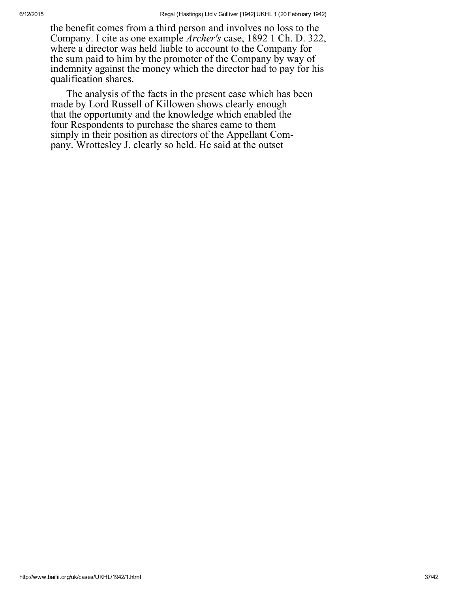the benefit comes from a third person and involves no loss to the Company. I cite as one example Archer's case, 1892 1 Ch. D. 322, where a director was held liable to account to the Company for the sum paid to him by the promoter of the Company by way of indemnity against the money which the director had to pay for his qualification shares.

The analysis of the facts in the present case which has been made by Lord Russell of Killowen shows clearly enough that the opportunity and the knowledge which enabled the four Respondents to purchase the shares came to them simply in their position as directors of the Appellant Company. Wrottesley J. clearly so held. He said at the outset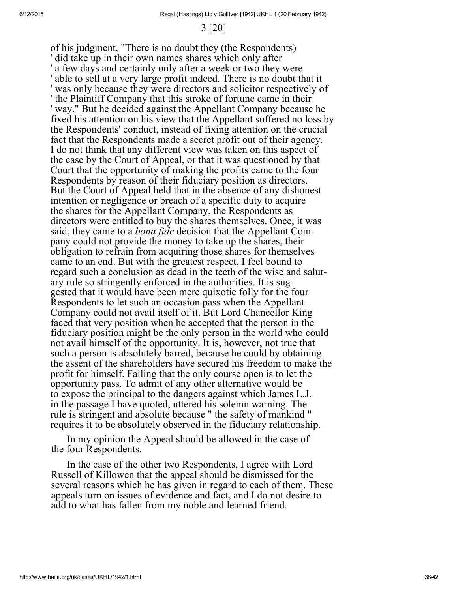### 3 [20]

of his judgment, "There is no doubt they (the Respondents) ' did take up in their own names shares which only after ' a few days and certainly only after a week or two they were ' able to sell at a very large profit indeed. There is no doubt that it ' was only because they were directors and solicitor respectively of ' the Plaintiff Company that this stroke of fortune came in their ' way." But he decided against the Appellant Company because he fixed his attention on his view that the Appellant suffered no loss by the Respondents' conduct, instead of fixing attention on the crucial fact that the Respondents made a secret profit out of their agency. I do not think that any different view was taken on this aspect of the case by the Court of Appeal, or that it was questioned by that Court that the opportunity of making the profits came to the four Respondents by reason of their fiduciary position as directors. But the Court of Appeal held that in the absence of any dishonest intention or negligence or breach of a specific duty to acquire the shares for the Appellant Company, the Respondents as directors were entitled to buy the shares themselves. Once, it was said, they came to a *bona fide* decision that the Appellant Company could not provide the money to take up the shares, their obligation to refrain from acquiring those shares for themselves came to an end. But with the greatest respect, I feel bound to regard such a conclusion as dead in the teeth of the wise and salutary rule so stringently enforced in the authorities. It is suggested that it would have been mere quixotic folly for the four Respondents to let such an occasion pass when the Appellant Company could not avail itself of it. But Lord Chancellor King faced that very position when he accepted that the person in the fiduciary position might be the only person in the world who could not avail himself of the opportunity. It is, however, not true that such a person is absolutely barred, because he could by obtaining the assent of the shareholders have secured his freedom to make the profit for himself. Failing that the only course open is to let the opportunity pass. To admit of any other alternative would be to expose the principal to the dangers against which James L.J. in the passage I have quoted, uttered his solemn warning. The rule is stringent and absolute because " the safety of mankind " requires it to be absolutely observed in the fiduciary relationship.

In my opinion the Appeal should be allowed in the case of the four Respondents.

In the case of the other two Respondents, I agree with Lord Russell of Killowen that the appeal should be dismissed for the several reasons which he has given in regard to each of them. These appeals turn on issues of evidence and fact, and I do not desire to add to what has fallen from my noble and learned friend.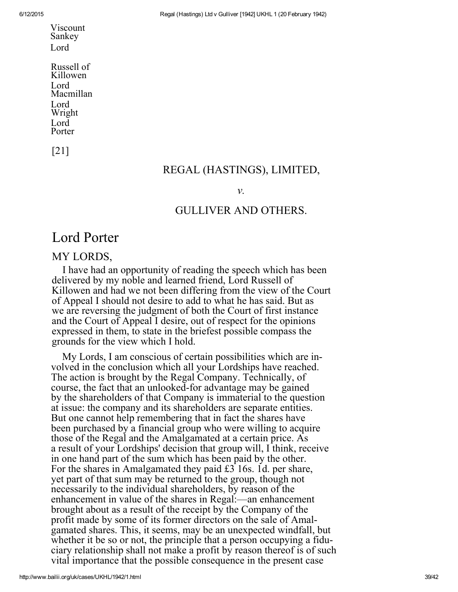Viscount Sankey Lord

Russell of Killowen Lord Macmillan Lord Wright Lord Porter

[21]

### REGAL (HASTINGS), LIMITED,

 $\nu$ .

### GULLIVER AND OTHERS.

## Lord Porter

MY LORDS,

I have had an opportunity of reading the speech which has been delivered by my noble and learned friend, Lord Russell of Killowen and had we not been differing from the view of the Court of Appeal I should not desire to add to what he has said. But as we are reversing the judgment of both the Court of first instance and the Court of Appeal I desire, out of respect for the opinions expressed in them, to state in the briefest possible compass the grounds for the view which I hold.

My Lords, I am conscious of certain possibilities which are involved in the conclusion which all your Lordships have reached. The action is brought by the Regal Company. Technically, of course, the fact that an unlooked-for advantage may be gained by the shareholders of that Company is immaterial to the question at issue: the company and its shareholders are separate entities. But one cannot help remembering that in fact the shares have been purchased by a financial group who were willing to acquire those of the Regal and the Amalgamated at a certain price. As a result of your Lordships' decision that group will, I think, receive in one hand part of the sum which has been paid by the other. For the shares in Amalgamated they paid £3 16s. 1d. per share, yet part of that sum may be returned to the group, though not necessarily to the individual shareholders, by reason of the enhancement in value of the shares in Regal:—an enhancement brought about as a result of the receipt by the Company of the profit made by some of its former directors on the sale of Amalgamated shares. This, it seems, may be an unexpected windfall, but whether it be so or not, the principle that a person occupying a fiduciary relationship shall not make a profit by reason thereof is of such vital importance that the possible consequence in the present case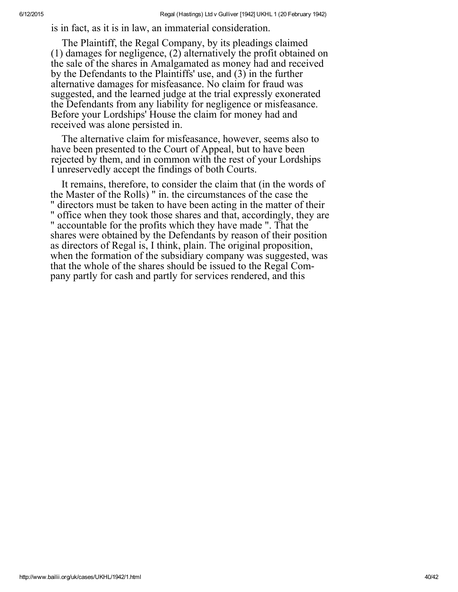is in fact, as it is in law, an immaterial consideration.

The Plaintiff, the Regal Company, by its pleadings claimed (1) damages for negligence, (2) alternatively the profit obtained on the sale of the shares in Amalgamated as money had and received by the Defendants to the Plaintiffs' use, and (3) in the further alternative damages for misfeasance. No claim for fraud was suggested, and the learned judge at the trial expressly exonerated the Defendants from any liability for negligence or misfeasance. Before your Lordships' House the claim for money had and received was alone persisted in.

The alternative claim for misfeasance, however, seems also to have been presented to the Court of Appeal, but to have been rejected by them, and in common with the rest of your Lordships I unreservedly accept the findings of both Courts.

It remains, therefore, to consider the claim that (in the words of the Master of the Rolls) " in. the circumstances of the case the " directors must be taken to have been acting in the matter of their " office when they took those shares and that, accordingly, they are " accountable for the profits which they have made ". That the shares were obtained by the Defendants by reason of their position as directors of Regal is, I think, plain. The original proposition, when the formation of the subsidiary company was suggested, was that the whole of the shares should be issued to the Regal Company partly for cash and partly for services rendered, and this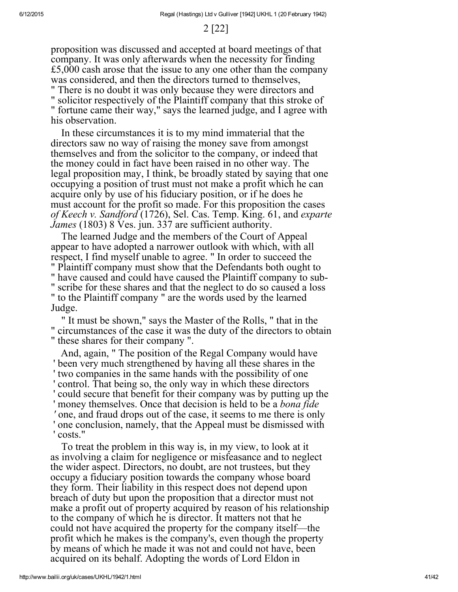### 2 [22]

proposition was discussed and accepted at board meetings of that company. It was only afterwards when the necessity for finding £5,000 cash arose that the issue to any one other than the company was considered, and then the directors turned to themselves, " There is no doubt it was only because they were directors and " solicitor respectively of the Plaintiff company that this stroke of " fortune came their way," says the learned judge, and I agree with his observation.

In these circumstances it is to my mind immaterial that the directors saw no way of raising the money save from amongst themselves and from the solicitor to the company, or indeed that the money could in fact have been raised in no other way. The legal proposition may, I think, be broadly stated by saying that one occupying a position of trust must not make a profit which he can acquire only by use of his fiduciary position, or if he does he must account for the profit so made. For this proposition the cases of Keech v. Sandford (1726), Sel. Cas. Temp. King. 61, and exparte James (1803) 8 Ves. jun. 337 are sufficient authority.

The learned Judge and the members of the Court of Appeal appear to have adopted a narrower outlook with which, with all respect, I find myself unable to agree. " In order to succeed the " Plaintiff company must show that the Defendants both ought to " have caused and could have caused the Plaintiff company to sub " scribe for these shares and that the neglect to do so caused a loss " to the Plaintiff company " are the words used by the learned Judge.

" It must be shown," says the Master of the Rolls, " that in the " circumstances of the case it was the duty of the directors to obtain " these shares for their company ".

And, again, " The position of the Regal Company would have ' been very much strengthened by having all these shares in the ' two companies in the same hands with the possibility of one ' control. That being so, the only way in which these directors ' could secure that benefit for their company was by putting up the ' money themselves. Once that decision is held to be a *bona fide* ' one, and fraud drops out of the case, it seems to me there is only ' one conclusion, namely, that the Appeal must be dismissed with ' costs."

To treat the problem in this way is, in my view, to look at it as involving a claim for negligence or misfeasance and to neglect the wider aspect. Directors, no doubt, are not trustees, but they occupy a fiduciary position towards the company whose board they form. Their liability in this respect does not depend upon breach of duty but upon the proposition that a director must not make a profit out of property acquired by reason of his relationship to the company of which he is director. It matters not that he could not have acquired the property for the company itself—the profit which he makes is the company's, even though the property by means of which he made it was not and could not have, been acquired on its behalf. Adopting the words of Lord Eldon in